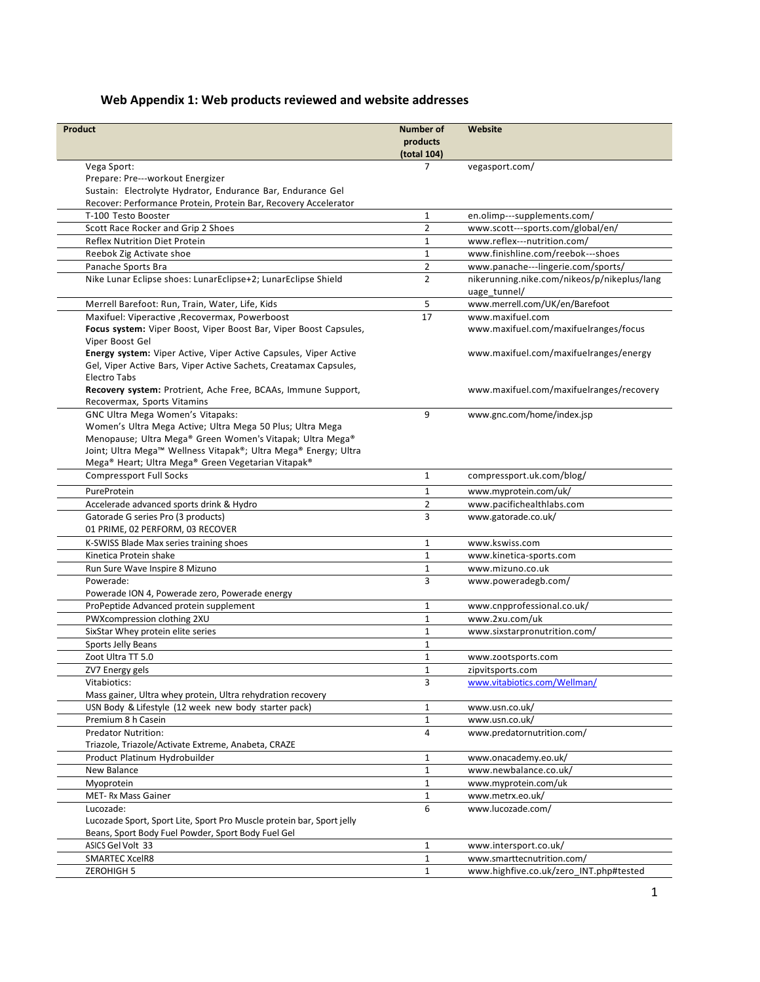## **Web Appendix 1: Web products reviewed and website addresses**

| Product                                                                                                                      | <b>Number of</b>             | Website                                          |
|------------------------------------------------------------------------------------------------------------------------------|------------------------------|--------------------------------------------------|
|                                                                                                                              | products                     |                                                  |
|                                                                                                                              | (total 104)                  |                                                  |
| Vega Sport:                                                                                                                  | $\overline{7}$               | vegasport.com/                                   |
| Prepare: Pre---workout Energizer                                                                                             |                              |                                                  |
| Sustain: Electrolyte Hydrator, Endurance Bar, Endurance Gel                                                                  |                              |                                                  |
| Recover: Performance Protein, Protein Bar, Recovery Accelerator                                                              |                              |                                                  |
| T-100 Testo Booster                                                                                                          | $1\,$                        | en.olimp---supplements.com/                      |
| Scott Race Rocker and Grip 2 Shoes                                                                                           | $\overline{2}$               | www.scott---sports.com/global/en/                |
| Reflex Nutrition Diet Protein                                                                                                | $\mathbf{1}$                 | www.reflex---nutrition.com/                      |
| Reebok Zig Activate shoe                                                                                                     | $\mathbf{1}$                 | www.finishline.com/reebok---shoes                |
| Panache Sports Bra                                                                                                           | $\overline{2}$               | www.panache---lingerie.com/sports/               |
| Nike Lunar Eclipse shoes: LunarEclipse+2; LunarEclipse Shield                                                                | $\overline{2}$               | nikerunning.nike.com/nikeos/p/nikeplus/lang      |
|                                                                                                                              |                              | uage_tunnel/                                     |
| Merrell Barefoot: Run, Train, Water, Life, Kids                                                                              | 5                            | www.merrell.com/UK/en/Barefoot                   |
| Maxifuel: Viperactive , Recovermax, Powerboost                                                                               | 17                           | www.maxifuel.com                                 |
| Focus system: Viper Boost, Viper Boost Bar, Viper Boost Capsules,                                                            |                              | www.maxifuel.com/maxifuelranges/focus            |
| Viper Boost Gel                                                                                                              |                              |                                                  |
| Energy system: Viper Active, Viper Active Capsules, Viper Active                                                             |                              | www.maxifuel.com/maxifuelranges/energy           |
| Gel, Viper Active Bars, Viper Active Sachets, Creatamax Capsules,                                                            |                              |                                                  |
| Electro Tabs                                                                                                                 |                              |                                                  |
| Recovery system: Protrient, Ache Free, BCAAs, Immune Support,                                                                |                              | www.maxifuel.com/maxifuelranges/recovery         |
| Recovermax, Sports Vitamins                                                                                                  |                              |                                                  |
| GNC Ultra Mega Women's Vitapaks:                                                                                             | 9                            | www.gnc.com/home/index.jsp                       |
| Women's Ultra Mega Active; Ultra Mega 50 Plus; Ultra Mega                                                                    |                              |                                                  |
| Menopause; Ultra Mega® Green Women's Vitapak; Ultra Mega®<br>Joint; Ultra Mega™ Wellness Vitapak®; Ultra Mega® Energy; Ultra |                              |                                                  |
| Mega® Heart; Ultra Mega® Green Vegetarian Vitapak®                                                                           |                              |                                                  |
| <b>Compressport Full Socks</b>                                                                                               | $\mathbf{1}$                 | compressport.uk.com/blog/                        |
|                                                                                                                              |                              |                                                  |
| PureProtein                                                                                                                  | $\mathbf{1}$                 | www.myprotein.com/uk/                            |
| Accelerade advanced sports drink & Hydro                                                                                     | $\overline{2}$               | www.pacifichealthlabs.com                        |
| Gatorade G series Pro (3 products)                                                                                           | 3                            | www.gatorade.co.uk/                              |
| 01 PRIME, 02 PERFORM, 03 RECOVER                                                                                             |                              |                                                  |
| K-SWISS Blade Max series training shoes                                                                                      | $\mathbf{1}$                 | www.kswiss.com                                   |
| Kinetica Protein shake                                                                                                       | $\mathbf{1}$                 | www.kinetica-sports.com                          |
| Run Sure Wave Inspire 8 Mizuno                                                                                               | $\mathbf{1}$                 | www.mizuno.co.uk                                 |
| Powerade:                                                                                                                    | 3                            | www.poweradegb.com/                              |
| Powerade ION 4, Powerade zero, Powerade energy                                                                               |                              |                                                  |
| ProPeptide Advanced protein supplement                                                                                       | $\mathbf{1}$<br>$\mathbf{1}$ | www.cnpprofessional.co.uk/<br>www.2xu.com/uk     |
| PWXcompression clothing 2XU                                                                                                  |                              |                                                  |
| SixStar Whey protein elite series<br>Sports Jelly Beans                                                                      | $\mathbf{1}$<br>$\mathbf{1}$ | www.sixstarpronutrition.com/                     |
| Zoot Ultra TT 5.0                                                                                                            | $\mathbf{1}$                 |                                                  |
| ZV7 Energy gels                                                                                                              | $\mathbf 1$                  | www.zootsports.com                               |
| Vitabiotics:                                                                                                                 | 3                            | zipvitsports.com<br>www.vitabiotics.com/Wellman/ |
| Mass gainer, Ultra whey protein, Ultra rehydration recovery                                                                  |                              |                                                  |
| USN Body & Lifestyle (12 week new body starter pack)                                                                         | $\mathbf{1}$                 | www.usn.co.uk/                                   |
| Premium 8 h Casein                                                                                                           | $\mathbf{1}$                 | www.usn.co.uk/                                   |
| <b>Predator Nutrition:</b>                                                                                                   | 4                            | www.predatornutrition.com/                       |
| Triazole, Triazole/Activate Extreme, Anabeta, CRAZE                                                                          |                              |                                                  |
| Product Platinum Hydrobuilder                                                                                                | 1                            | www.onacademy.eo.uk/                             |
| New Balance                                                                                                                  | $1\,$                        | www.newbalance.co.uk/                            |
| Myoprotein                                                                                                                   | $\mathbf{1}$                 | www.myprotein.com/uk                             |
| MET-Rx Mass Gainer                                                                                                           | $\mathbf{1}$                 | www.metrx.eo.uk/                                 |
| Lucozade:                                                                                                                    | 6                            | www.lucozade.com/                                |
| Lucozade Sport, Sport Lite, Sport Pro Muscle protein bar, Sport jelly                                                        |                              |                                                  |
| Beans, Sport Body Fuel Powder, Sport Body Fuel Gel                                                                           |                              |                                                  |
| ASICS Gel Volt 33                                                                                                            | 1                            | www.intersport.co.uk/                            |
| <b>SMARTEC XcelR8</b>                                                                                                        | $\mathbf{1}$                 | www.smarttecnutrition.com/                       |
| <b>ZEROHIGH 5</b>                                                                                                            | $\mathbf{1}$                 | www.highfive.co.uk/zero INT.php#tested           |